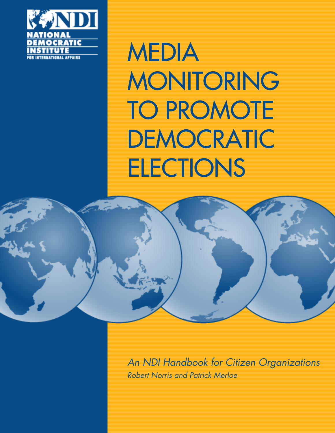

MEDIA MONITORING TO PROMOTE DEMOCRATIC **ELECTIONS** 



*An NDI Handbook for Citizen Organizations Robert Norris and Patrick Merloe*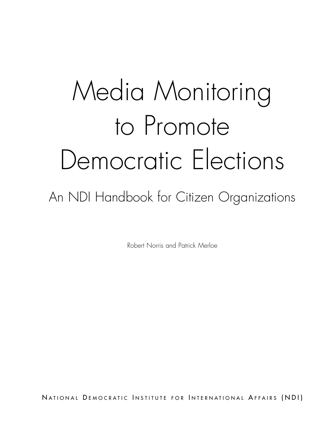# Media Monitoring to Promote Democratic Elections

An NDI Handbook for Citizen Organizations

Robert Norris and Patrick Merloe

NATIONAL DEMOCRATIC INSTITUTE FOR INTERNATIONAL AFFAIRS (NDI)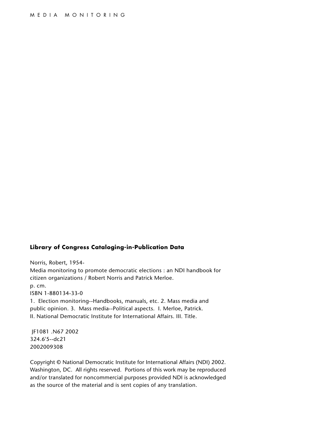#### **Library of Congress Cataloging-in-Publication Data**

Norris, Robert, 1954- Media monitoring to promote democratic elections : an NDI handbook for citizen organizations / Robert Norris and Patrick Merloe. p. cm. ISBN 1-880134-33-0 1. Election monitoring--Handbooks, manuals, etc. 2. Mass media and

public opinion. 3. Mass media--Political aspects. I. Merloe, Patrick. II. National Democratic Institute for International Affairs. III. Title.

JF1081 .N67 2002 324.6'5--dc21 2002009308

Copyright © National Democratic Institute for International Affairs (NDI) 2002. Washington, DC. All rights reserved. Portions of this work may be reproduced and/or translated for noncommercial purposes provided NDI is acknowledged as the source of the material and is sent copies of any translation.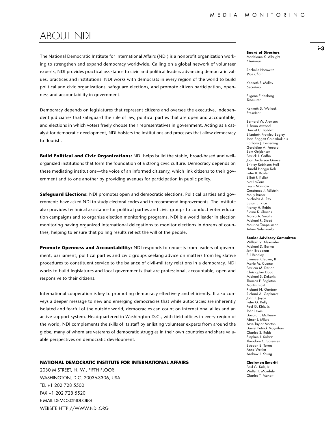### ABOUT NDI

The National Democratic Institute for International Affairs (NDI) is a nonprofit organization working to strengthen and expand democracy worldwide. Calling on a global network of volunteer experts, NDI provides practical assistance to civic and political leaders advancing democratic values, practices and institutions. NDI works with democrats in every region of the world to build political and civic organizations, safeguard elections, and promote citizen participation, openness and accountability in government.

Democracy depends on legislatures that represent citizens and oversee the executive, independent judiciaries that safeguard the rule of law, political parties that are open and accountable, and elections in which voters freely choose their representatives in government. Acting as a catalyst for democratic development, NDI bolsters the institutions and processes that allow democracy to flourish.

**Build Political and Civic Organizations:** NDI helps build the stable, broad-based and wellorganized institutions that form the foundation of a strong civic culture. Democracy depends on these mediating institutions—the voice of an informed citizenry, which link citizens to their government and to one another by providing avenues for participation in public policy.

**Safeguard Elections:** NDI promotes open and democratic elections. Political parties and governments have asked NDI to study electoral codes and to recommend improvements. The Institute also provides technical assistance for political parties and civic groups to conduct voter education campaigns and to organize election monitoring programs. NDI is a world leader in election monitoring having organized international delegations to monitor elections in dozens of countries, helping to ensure that polling results reflect the will of the people.

**Promote Openness and Accountability:** NDI responds to requests from leaders of government, parliament, political parties and civic groups seeking advice on matters from legislative procedures to constituent service to the balance of civil-military relations in a democracy. NDI works to build legislatures and local governments that are professional, accountable, open and responsive to their citizens.

International cooperation is key to promoting democracy effectively and efficiently. It also conveys a deeper message to new and emerging democracies that while autocracies are inherently isolated and fearful of the outside world, democracies can count on international allies and an active support system. Headquartered in Washington D.C., with field offices in every region of the world, NDI complements the skills of its staff by enlisting volunteer experts from around the globe, many of whom are veterans of democratic struggles in their own countries and share valuable perspectives on democratic development.

#### **NATIONAL DEMOCRATIC INSTITUTE FOR INTERNATIONAL AFFAIRS**

2030 M STREET, N. W., FIFTH FLOOR WASHINGTON, D.C. 20036-3306, USA TEL +1 202 728 5500 FAX +1 202 728 5520 E-MAIL DEMOS@NDI.ORG WEBSITE HTTP://WWW.NDI.ORG

**Board of Directors** Madeleine K. Albright *Chairman*

Rachelle Horowitz *Vice Chair* 

Kenneth F. Melley *Secretary* 

Eugene Eidenberg *Treasurer* 

Kenneth D. Wollack *President*

Bernard W. Aronson J. Brian Atwood Harriet C. Babbitt Elizabeth Frawley Bagley Joan Baggett Calambokidis Barbara J. Easterling Geraldine A. Ferraro Sam Gejdenson Patrick J. Griffin Joan Anderson Growe Shirley Robinson Hall Harold Hongju Koh Peter B. Kovler Elliott F. Kulick Nat LaCour Lewis Manilow Constance J. Milstein Molly Raiser Nicholas A. Rey Susan E. Rice Nancy H. Rubin Elaine K. Shocas Marva A. Smalls Michael R. Steed Maurice Tempelsman Arturo Valenzuela

#### **Senior Advisory Committee**

William V. Alexander Michael D. Barnes John Brademas Bill Bradley Emanuel Cleaver, II Mario M. Cuomo Patricia M. Derian Christopher Dodd Michael S. Dukakis Thomas F. Eagleton Martin Frost Richard N. Gardner Richard A. Gephardt John T. Joyce Peter G. Kelly Paul G. Kirk, Jr. John Lewis Donald F. McHenry Abner J. Mikva Azie Taylor Morton Daniel Patrick Moynihan Charles S. Robb Stephen J. Solarz Theodore C. Sorensen Esteban E. Torres Anne Wexler Andrew J. Young

**Chairmen Emeriti** Paul G. Kirk, Jr. Walter F. Mondale Charles T. Manatt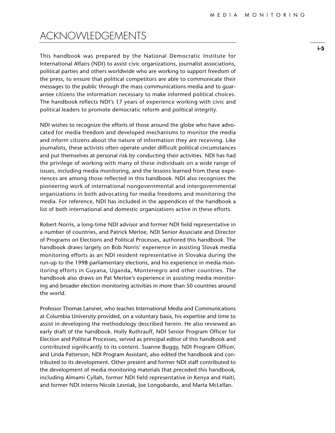### ACKNOWLEDGEMENTS

This handbook was prepared by the National Democratic Institute for International Affairs (NDI) to assist civic organizations, journalist associations, political parties and others worldwide who are working to support freedom of the press, to ensure that political competitors are able to communicate their messages to the public through the mass communications media and to guarantee citizens the information necessary to make informed political choices. The handbook reflects NDI's 17 years of experience working with civic and political leaders to promote democratic reform and political integrity.

NDI wishes to recognize the efforts of those around the globe who have advocated for media freedom and developed mechanisms to monitor the media and inform citizens about the nature of information they are receiving. Like journalists, these activists often operate under difficult political circumstances and put themselves at personal risk by conducting their activities. NDI has had the privilege of working with many of these individuals on a wide range of issues, including media monitoring, and the lessons learned from these experiences are among those reflected in this handbook. NDI also recognizes the pioneering work of international nongovernmental and intergovernmental organizations in both advocating for media freedoms and monitoring the media. For reference, NDI has included in the appendices of the handbook a list of both international and domestic organizations active in these efforts.

Robert Norris, a long-time NDI advisor and former NDI field representative in a number of countries, and Patrick Merloe, NDI Senior Associate and Director of Programs on Elections and Political Processes, authored this handbook. The handbook draws largely on Bob Norris' experience in assisting Slovak media monitoring efforts as an NDI resident representative in Slovakia during the run-up to the 1998 parliamentary elections, and his experience in media monitoring efforts in Guyana, Uganda, Montenegro and other countries. The handbook also draws on Pat Merloe's experience in assisting media monitoring and broader election monitoring activities in more than 50 countries around the world.

Professor Thomas Lansner, who teaches International Media and Communications at Columbia University provided, on a voluntary basis, his expertise and time to assist in developing the methodology described herein. He also reviewed an early draft of the handbook. Holly Ruthrauff, NDI Senior Program Officer for Election and Political Processes, served as principal editor of this handbook and contributed significantly to its content. Suanne Buggy, NDI Program Officer, and Linda Patterson, NDI Program Assistant, also edited the handbook and contributed to its development. Other present and former NDI staff contributed to the development of media monitoring materials that preceded this handbook, including Almami Cyllah, former NDI field representative in Kenya and Haiti, and former NDI interns Nicole Lesniak, Joe Longobardo, and Marta McLellan.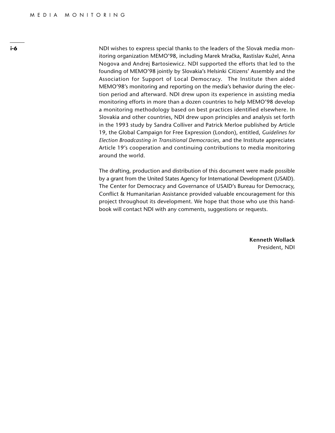**i-6** NDI wishes to express special thanks to the leaders of the Slovak media monitoring organization MEMO'98, including Marek Mračka, Rastislav Kužel, Anna Nogova and Andrej Bartosiewicz. NDI supported the efforts that led to the founding of MEMO'98 jointly by Slovakia's Helsinki Citizens' Assembly and the Association for Support of Local Democracy. The Institute then aided MEMO'98's monitoring and reporting on the media's behavior during the election period and afterward. NDI drew upon its experience in assisting media monitoring efforts in more than a dozen countries to help MEMO'98 develop a monitoring methodology based on best practices identified elsewhere. In Slovakia and other countries, NDI drew upon principles and analysis set forth in the 1993 study by Sandra Colliver and Patrick Merloe published by Article 19, the Global Campaign for Free Expression (London), entitled, *Guidelines for Election Broadcasting in Transitional Democracies,* and the Institute appreciates Article 19's cooperation and continuing contributions to media monitoring around the world.

> The drafting, production and distribution of this document were made possible by a grant from the United States Agency for International Development (USAID). The Center for Democracy and Governance of USAID's Bureau for Democracy, Conflict & Humanitarian Assistance provided valuable encouragement for this project throughout its development. We hope that those who use this handbook will contact NDI with any comments, suggestions or requests.

> > **Kenneth Wollack** President, NDI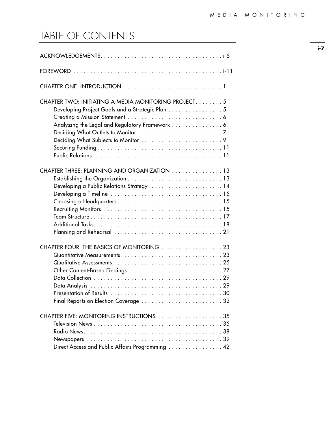## TABLE OF CONTENTS

| CHAPTER TWO: INITIATING A MEDIA MONITORING PROJECT 5<br>Developing Project Goals and a Strategic Plan 5<br>Analyzing the Legal and Regulatory Framework 6 |
|-----------------------------------------------------------------------------------------------------------------------------------------------------------|
| CHAPTER THREE: PLANNING AND ORGANIZATION 13<br>Developing a Public Relations Strategy 14                                                                  |
| CHAPTER FOUR: THE BASICS OF MONITORING 23                                                                                                                 |
| CHAPTER FIVE: MONITORING INSTRUCTIONS 35<br>Direct Access and Public Affairs Programming  42                                                              |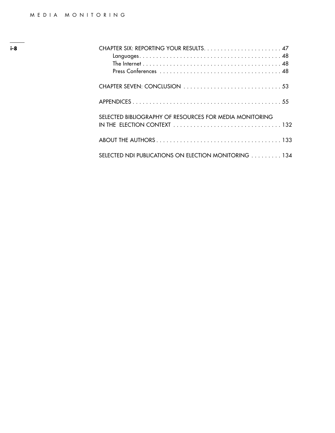| SELECTED BIBLIOGRAPHY OF RESOURCES FOR MEDIA MONITORING<br>IN THE ELECTION CONTEXT $\ldots \ldots \ldots \ldots \ldots \ldots \ldots \ldots \ldots \ldots \ldots 132$ |
|-----------------------------------------------------------------------------------------------------------------------------------------------------------------------|
|                                                                                                                                                                       |
| SELECTED NDI PUBLICATIONS ON ELECTION MONITORING 134                                                                                                                  |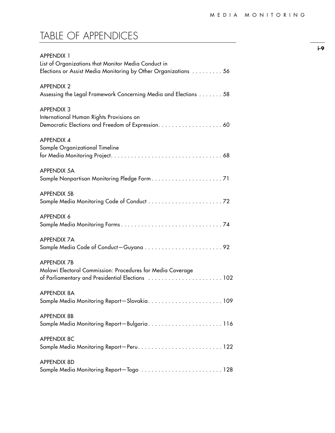## TABLE OF APPENDICES

| <b>APPENDIX 1</b><br>List of Organizations that Monitor Media Conduct in<br>Elections or Assist Media Monitoring by Other Organizations 56 |
|--------------------------------------------------------------------------------------------------------------------------------------------|
| <b>APPENDIX 2</b><br>Assessing the Legal Framework Concerning Media and Elections 58                                                       |
| <b>APPENDIX 3</b><br>International Human Rights Provisions on                                                                              |
| <b>APPENDIX 4</b><br>Sample Organizational Timeline                                                                                        |
| <b>APPENDIX 5A</b>                                                                                                                         |
| <b>APPENDIX 5B</b>                                                                                                                         |
| <b>APPENDIX 6</b>                                                                                                                          |
| <b>APPENDIX 7A</b>                                                                                                                         |
| <b>APPENDIX 7B</b><br>Malawi Electoral Commission: Procedures for Media Coverage<br>of Parliamentary and Presidential Elections  102       |
| <b>APPENDIX 8A</b><br>Sample Media Monitoring Report-Slovakia 109                                                                          |
| <b>APPENDIX 8B</b><br>Sample Media Monitoring Report-Bulgaria116                                                                           |
| <b>APPENDIX 8C</b><br>Sample Media Monitoring Report-Peru 122                                                                              |
| <b>APPENDIX 8D</b><br>Sample Media Monitoring Report-Togo 128                                                                              |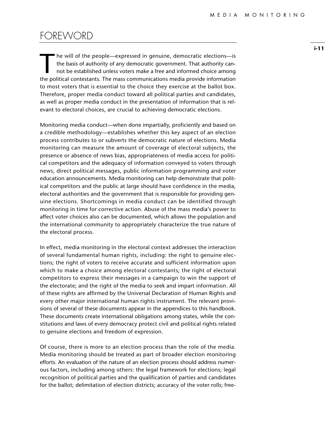### FOREWORD

The will of the people—expressed in genuine, democratic elections—is<br>the basis of authority of any democratic government. That authority can-<br>not be established unless voters make a free and informed choice among<br>the polit the basis of authority of any democratic government. That authority cannot be established unless voters make a free and informed choice among the political contestants. The mass communications media provide information to most voters that is essential to the choice they exercise at the ballot box. Therefore, proper media conduct toward all political parties and candidates, as well as proper media conduct in the presentation of information that is relevant to electoral choices, are crucial to achieving democratic elections.

Monitoring media conduct—when done impartially, proficiently and based on a credible methodology—establishes whether this key aspect of an election process contributes to or subverts the democratic nature of elections. Media monitoring can measure the amount of coverage of electoral subjects, the presence or absence of news bias, appropriateness of media access for political competitors and the adequacy of information conveyed to voters through news, direct political messages, public information programming and voter education announcements. Media monitoring can help demonstrate that political competitors and the public at large should have confidence in the media, electoral authorities and the government that is responsible for providing genuine elections. Shortcomings in media conduct can be identified through monitoring in time for corrective action. Abuse of the mass media's power to affect voter choices also can be documented, which allows the population and the international community to appropriately characterize the true nature of the electoral process.

In effect, media monitoring in the electoral context addresses the interaction of several fundamental human rights, including: the right to genuine elections; the right of voters to receive accurate and sufficient information upon which to make a choice among electoral contestants; the right of electoral competitors to express their messages in a campaign to win the support of the electorate; and the right of the media to seek and impart information. All of these rights are affirmed by the Universal Declaration of Human Rights and every other major international human rights instrument. The relevant provisions of several of these documents appear in the appendices to this handbook. These documents create international obligations among states, while the constitutions and laws of every democracy protect civil and political rights related to genuine elections and freedom of expression.

Of course, there is more to an election process than the role of the media. Media monitoring should be treated as part of broader election monitoring efforts. An evaluation of the nature of an election process should address numerous factors, including among others: the legal framework for elections; legal recognition of political parties and the qualification of parties and candidates for the ballot; delimitation of election districts; accuracy of the voter rolls; free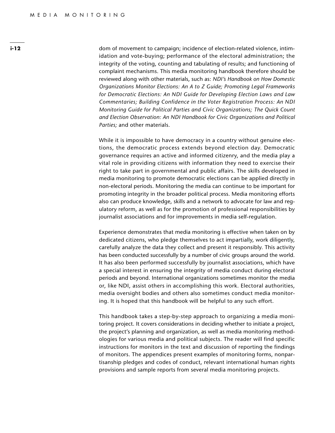dom of movement to campaign; incidence of election-related violence, intimidation and vote-buying; performance of the electoral administration; the integrity of the voting, counting and tabulating of results; and functioning of complaint mechanisms. This media monitoring handbook therefore should be reviewed along with other materials, such as: *NDI's Handbook on How Domestic Organizations Monitor Elections: An A to Z Guide; Promoting Legal Frameworks for Democratic Elections: An NDI Guide for Developing Election Laws and Law Commentaries; Building Confidence in the Voter Registration Process: An NDI Monitoring Guide for Political Parties and Civic Organizations; The Quick Count and Election Observation: An NDI Handbook for Civic Organizations and Political Parties;* and other materials.

While it is impossible to have democracy in a country without genuine elections, the democratic process extends beyond election day. Democratic governance requires an active and informed citizenry, and the media play a vital role in providing citizens with information they need to exercise their right to take part in governmental and public affairs. The skills developed in media monitoring to promote democratic elections can be applied directly in non-electoral periods. Monitoring the media can continue to be important for promoting integrity in the broader political process. Media monitoring efforts also can produce knowledge, skills and a network to advocate for law and regulatory reform, as well as for the promotion of professional responsibilities by journalist associations and for improvements in media self-regulation.

Experience demonstrates that media monitoring is effective when taken on by dedicated citizens, who pledge themselves to act impartially, work diligently, carefully analyze the data they collect and present it responsibly. This activity has been conducted successfully by a number of civic groups around the world. It has also been performed successfully by journalist associations, which have a special interest in ensuring the integrity of media conduct during electoral periods and beyond. International organizations sometimes monitor the media or, like NDI, assist others in accomplishing this work. Electoral authorities, media oversight bodies and others also sometimes conduct media monitoring. It is hoped that this handbook will be helpful to any such effort.

This handbook takes a step-by-step approach to organizing a media monitoring project. It covers considerations in deciding whether to initiate a project, the project's planning and organization, as well as media monitoring methodologies for various media and political subjects. The reader will find specific instructions for monitors in the text and discussion of reporting the findings of monitors. The appendices present examples of monitoring forms, nonpartisanship pledges and codes of conduct, relevant international human rights provisions and sample reports from several media monitoring projects.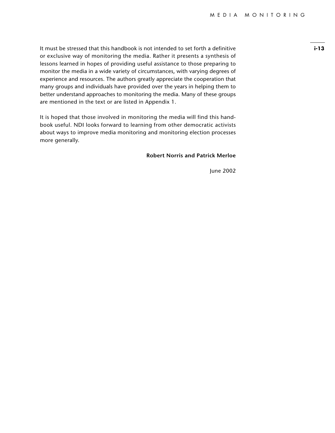It must be stressed that this handbook is not intended to set forth a definitive or exclusive way of monitoring the media. Rather it presents a synthesis of lessons learned in hopes of providing useful assistance to those preparing to monitor the media in a wide variety of circumstances, with varying degrees of experience and resources. The authors greatly appreciate the cooperation that many groups and individuals have provided over the years in helping them to better understand approaches to monitoring the media. Many of these groups are mentioned in the text or are listed in Appendix 1.

It is hoped that those involved in monitoring the media will find this handbook useful. NDI looks forward to learning from other democratic activists about ways to improve media monitoring and monitoring election processes more generally.

#### **Robert Norris and Patrick Merloe**

June 2002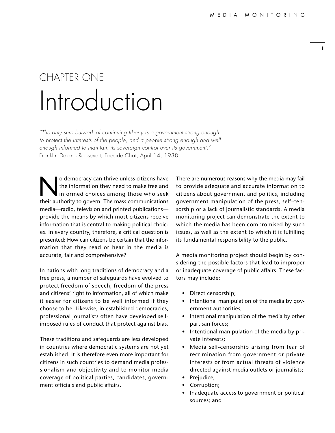## CHAPTER ONE Introduction

*"The only sure bulwark of continuing liberty is a government strong enough*  to protect the interests of the people, and a people strong enough and well *enough informed to maintain its sovereign control over its government."*  Franklin Delano Roosevelt, Fireside Chat, April 14, 1938

solution they need to make free and<br>informed choices among those who seek<br>their authority to govern. The mass communications the information they need to make free and informed choices among those who seek their authority to govern. The mass communications media—radio, television and printed publications provide the means by which most citizens receive information that is central to making political choices. In every country, therefore, a critical question is presented: How can citizens be certain that the information that they read or hear in the media is accurate, fair and comprehensive?

In nations with long traditions of democracy and a free press, a number of safeguards have evolved to protect freedom of speech, freedom of the press and citizens' right to information, all of which make it easier for citizens to be well informed if they choose to be. Likewise, in established democracies, professional journalists often have developed selfimposed rules of conduct that protect against bias.

These traditions and safeguards are less developed in countries where democratic systems are not yet established. It is therefore even more important for citizens in such countries to demand media professionalism and objectivity and to monitor media coverage of political parties, candidates, government officials and public affairs.

There are numerous reasons why the media may fail to provide adequate and accurate information to citizens about government and politics, including government manipulation of the press, self-censorship or a lack of journalistic standards. A media monitoring project can demonstrate the extent to which the media has been compromised by such issues, as well as the extent to which it is fulfilling its fundamental responsibility to the public.

A media monitoring project should begin by considering the possible factors that lead to improper or inadequate coverage of public affairs. These factors may include:

- Direct censorship;
- Intentional manipulation of the media by government authorities;
- Intentional manipulation of the media by other partisan forces;
- Intentional manipulation of the media by private interests;
- Media self-censorship arising from fear of recrimination from government or private interests or from actual threats of violence directed against media outlets or journalists;
- Prejudice;
- Corruption;
- Inadequate access to government or political sources; and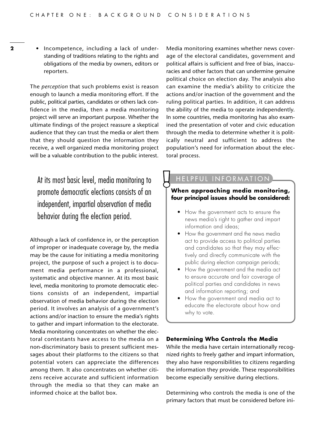**2** • Incompetence, including a lack of understanding of traditions relating to the rights and obligations of the media by owners, editors or reporters.

> The *perception* that such problems exist is reason enough to launch a media monitoring effort. If the public, political parties, candidates or others lack confidence in the media, then a media monitoring project will serve an important purpose. Whether the ultimate findings of the project reassure a skeptical audience that they can trust the media or alert them that they should question the information they receive, a well organized media monitoring project will be a valuable contribution to the public interest.

At its most basic level, media monitoring to promote democratic elections consists of an independent, impartial observation of media behavior during the election period.

Although a lack of confidence in, or the perception of improper or inadequate coverage by, the media may be the cause for initiating a media monitoring project, the purpose of such a project is to document media performance in a professional, systematic and objective manner. At its most basic level, media monitoring to promote democratic elections consists of an independent, impartial observation of media behavior during the election period. It involves an analysis of a government's actions and/or inaction to ensure the media's rights to gather and impart information to the electorate. Media monitoring concentrates on whether the electoral contestants have access to the media on a non-discriminatory basis to present sufficient messages about their platforms to the citizens so that potential voters can appreciate the differences among them. It also concentrates on whether citizens receive accurate and sufficient information through the media so that they can make an informed choice at the ballot box.

Media monitoring examines whether news coverage of the electoral candidates, government and political affairs is sufficient and free of bias, inaccuracies and other factors that can undermine genuine political choice on election day. The analysis also can examine the media's ability to criticize the actions and/or inaction of the government and the ruling political parties. In addition, it can address the ability of the media to operate independently. In some countries, media monitoring has also examined the presentation of voter and civic education through the media to determine whether it is politically neutral and sufficient to address the population's need for information about the electoral process.

#### HELPFUL INFORMATION

#### **When approaching media monitoring, four principal issues should be considered:**

- How the government acts to ensure the news media's right to gather and impart information and ideas;
- How the government and the news media act to provide access to political parties and candidates so that they may effectively and directly communicate with the public during election campaign periods;
- How the government and the media act to ensure accurate and fair coverage of political parties and candidates in news and information reporting; and
- How the government and media act to educate the electorate about how and why to vote.

#### **Determining Who Controls the Media**

While the media have certain internationally recognized rights to freely gather and impart information, they also have responsibilities to citizens regarding the information they provide. These responsibilities become especially sensitive during elections.

Determining who controls the media is one of the primary factors that must be considered before ini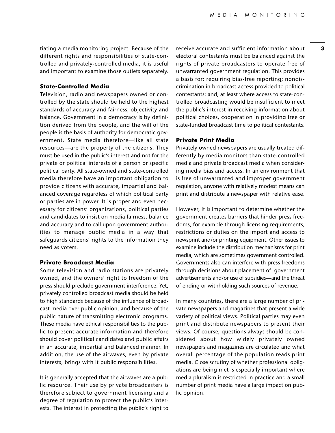tiating a media monitoring project. Because of the different rights and responsibilities of state-controlled and privately-controlled media, it is useful and important to examine those outlets separately.

#### **State-Controlled Media**

Television, radio and newspapers owned or controlled by the state should be held to the highest standards of accuracy and fairness, objectivity and balance. Government in a democracy is by definition derived from the people, and the will of the people is the basis of authority for democratic government. State media therefore—like all state resources—are the property of the citizens. They must be used in the public's interest and not for the private or political interests of a person or specific political party. All state-owned and state-controlled media therefore have an important obligation to provide citizens with accurate, impartial and balanced coverage regardless of which political party or parties are in power. It is proper and even necessary for citizens' organizations, political parties and candidates to insist on media fairness, balance and accuracy and to call upon government authorities to manage public media in a way that safeguards citizens' rights to the information they need as voters.

#### **Private Broadcast Media**

Some television and radio stations are privately owned, and the owners' right to freedom of the press should preclude government interference. Yet, privately controlled broadcast media should be held to high standards because of the influence of broadcast media over public opinion, and because of the public nature of transmitting electronic programs. These media have ethical responsibilities to the public to present accurate information and therefore should cover political candidates and public affairs in an accurate, impartial and balanced manner. In addition, the use of the airwaves, even by private interests, brings with it public responsibilities.

It is generally accepted that the airwaves are a public resource. Their use by private broadcasters is therefore subject to government licensing and a degree of regulation to protect the public's interests. The interest in protecting the public's right to

receive accurate and sufficient information about electoral contestants must be balanced against the rights of private broadcasters to operate free of unwarranted government regulation. This provides a basis for: requiring bias-free reporting; nondiscrimination in broadcast access provided to political contestants; and, at least where access to state-controlled broadcasting would be insufficient to meet the public's interest in receiving information about political choices, cooperation in providing free or state-funded broadcast time to political contestants.

#### **Private Print Media**

Privately owned newspapers are usually treated differently by media monitors than state-controlled media and private broadcast media when considering media bias and access. In an environment that is free of unwarranted and improper government regulation, anyone with relatively modest means can print and distribute a newspaper with relative ease.

However, it is important to determine whether the government creates barriers that hinder press freedoms, for example through licensing requirements, restrictions or duties on the import and access to newsprint and/or printing equipment. Other issues to examine include the distribution mechanisms for print media, which are sometimes government controlled. Governments also can interfere with press freedoms through decisions about placement of government advertisements and/or use of subsidies—and the threat of ending or withholding such sources of revenue.

In many countries, there are a large number of private newspapers and magazines that present a wide variety of political views. Political parties may even print and distribute newspapers to present their views. Of course, questions always should be considered about how widely privately owned newspapers and magazines are circulated and what overall percentage of the population reads print media. Close scrutiny of whether professional obligations are being met is especially important where media pluralism is restricted in practice and a small number of print media have a large impact on public opinion.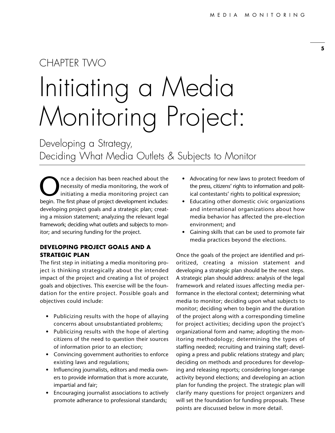## CHAPTER TWO Initiating a Media Monitoring Project:

Developing a Strategy, Deciding What Media Outlets & Subjects to Monitor

The a decision has been reached about the<br>
necessity of media monitoring, the work of<br>
initiating a media monitoring project can<br>
heqin The first phase of project development includes: necessity of media monitoring, the work of initiating a media monitoring project can begin. The first phase of project development includes: developing project goals and a strategic plan; creating a mission statement; analyzing the relevant legal framework; deciding what outlets and subjects to monitor; and securing funding for the project.

#### **DEVELOPING PROJECT GOALS AND A STRATEGIC PLAN**

The first step in initiating a media monitoring project is thinking strategically about the intended impact of the project and creating a list of project goals and objectives. This exercise will be the foundation for the entire project. Possible goals and objectives could include:

- Publicizing results with the hope of allaying concerns about unsubstantiated problems;
- Publicizing results with the hope of alerting citizens of the need to question their sources of information prior to an election;
- Convincing government authorities to enforce existing laws and regulations;
- Influencing journalists, editors and media owners to provide information that is more accurate, impartial and fair;
- Encouraging journalist associations to actively promote adherance to professional standards;
- Advocating for new laws to protect freedom of the press, citizens' rights to information and political contestants' rights to political expression;
- Educating other domestic civic organizations and international organizations about how media behavior has affected the pre-election environment; and
- Gaining skills that can be used to promote fair media practices beyond the elections.

Once the goals of the project are identified and prioritized, creating a mission statement and developing a strategic plan should be the next steps. A strategic plan should address: analysis of the legal framework and related issues affecting media performance in the electoral context; determining what media to monitor; deciding upon what subjects to monitor; deciding when to begin and the duration of the project along with a corresponding timeline for project activities; deciding upon the project's organizational form and name; adopting the monitoring methodology; determining the types of staffing needed; recruiting and training staff; developing a press and public relations strategy and plan; deciding on methods and procedures for developing and releasing reports; considering longer-range activity beyond elections; and developing an action plan for funding the project. The strategic plan will clarify many questions for project organizers and will set the foundation for funding proposals. These points are discussed below in more detail.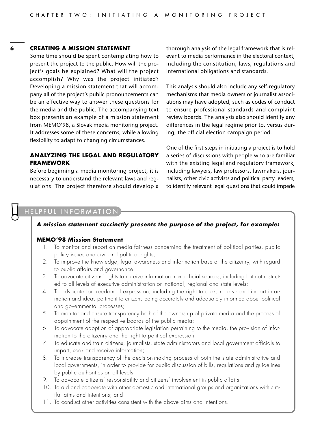#### **6 CREATING A MISSION STATEMENT**

Some time should be spent contemplating how to present the project to the public. How will the project's goals be explained? What will the project accomplish? Why was the project initiated? Developing a mission statement that will accompany all of the project's public pronouncements can be an effective way to answer these questions for the media and the public. The accompanying text box presents an example of a mission statement from MEMO'98, a Slovak media monitoring project. It addresses some of these concerns, while allowing flexibility to adapt to changing circumstances.

#### **ANALYZING THE LEGAL AND REGULATORY FRAMEWORK**

Before beginning a media monitoring project, it is necessary to understand the relevant laws and regulations. The project therefore should develop a thorough analysis of the legal framework that is relevant to media performance in the electoral context, including the constitution, laws, regulations and international obligations and standards.

This analysis should also include any self-regulatory mechanisms that media owners or journalist associations may have adopted, such as codes of conduct to ensure professional standards and complaint review boards. The analysis also should identify any differences in the legal regime prior to, versus during, the official election campaign period.

One of the first steps in initiating a project is to hold a series of discussions with people who are familiar with the existing legal and regulatory framework, including lawyers, law professors, lawmakers, journalists, other civic activists and political party leaders, to identify relevant legal questions that could impede

#### ELPFUL INFORMATION

#### *A mission statement succinctly presents the purpose of the project, for example:*

#### **MEMO'98 Mission Statement**

- 1. To monitor and report on media fairness concerning the treatment of political parties, public policy issues and civil and political rights;
- 2. To improve the knowledge, legal awareness and information base of the citizenry, with regard to public affairs and governance;
- 3. To advocate citizens' rights to receive information from official sources, including but not restricted to all levels of executive administration on national, regional and state levels;
- 4. To advocate for freedom of expression, including the right to seek, receive and impart information and ideas pertinent to citizens being accurately and adequately informed about political and governmental processes;
- 5. To monitor and ensure transparency both of the ownership of private media and the process of appointment of the respective boards of the public media;
- 6. To advocate adoption of appropriate legislation pertaining to the media, the provision of information to the citizenry and the right to political expression;
- 7. To educate and train citizens, journalists, state administrators and local government officials to impart, seek and receive information;
- 8. To increase transparency of the decision-making process of both the state administrative and local governments, in order to provide for public discussion of bills, regulations and guidelines by public authorities on all levels;
- 9. To advocate citizens' responsibility and citizens' involvement in public affairs;
- 10. To aid and cooperate with other domestic and international groups and organizations with similar aims and intentions; and
- 11. To conduct other activities consistent with the above aims and intentions.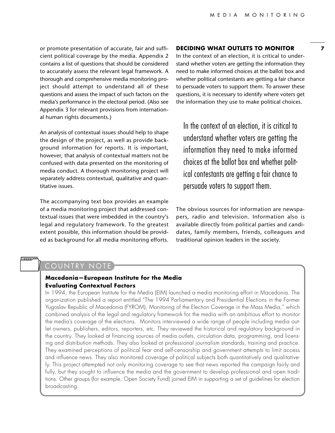or promote presentation of accurate, fair and sufficient political coverage by the media. Appendix 2 contains a list of questions that should be considered to accurately assess the relevant legal framework. A thorough and comprehensive media monitoring project should attempt to understand all of these questions and assess the impact of such factors on the media's performance in the electoral period. (Also see Appendix 3 for relevant provisions from international human rights documents.)

An analysis of contextual issues should help to shape the design of the project, as well as provide background information for reports. It is important, however, that analysis of contextual matters not be confused with data presented on the monitoring of media conduct. A thorough monitoring project will separately address contextual, qualitative and quantitative issues.

The accompanying text box provides an example of a media monitoring project that addressed contextual issues that were imbedded in the country's legal and regulatory framework. To the greatest extent possible, this information should be provided as background for all media monitoring efforts.

#### **DECIDING WHAT OUTLETS TO MONITOR**

In the context of an election, it is critical to understand whether voters are getting the information they need to make informed choices at the ballot box and whether political contestants are getting a fair chance to persuade voters to support them. To answer these questions, it is necessary to identify where voters get the information they use to make political choices.

In the context of an election, it is critical to understand whether voters are getting the information they need to make informed choices at the ballot box and whether political contestants are getting a fair chance to persuade voters to support them.

The obvious sources for information are newspapers, radio and television. Information also is available directly from political parties and candidates, family members, friends, colleagues and traditional opinion leaders in the society.

#### COUNTRY NOTE

**THULLUP** 

#### **Macedonia—European Institute for the Media Evaluating Contextual Factors**

In 1994, the European Institute for the Media (EIM) launched a media monitoring effort in Macedonia. The organization published a report entitled "The 1994 Parliamentary and Presidential Elections in the Former Yugoslav Republic of Macedonia (FYROM), Monitoring of the Election Coverage in the Mass Media," which combined analysis of the legal and regulatory framework for the media with an ambitious effort to monitor the media's coverage of the elections. Monitors interviewed a wide range of people including media outlet owners, publishers, editors, reporters, etc. They reviewed the historical and regulatory background in the country. They looked at financing sources of media outlets, circulation data, programming, and licensing and distribution methods. They also looked at professional journalism standards, training and practice. They examined perceptions of political fear and self-censorship and government attempts to limit access and influence news. They also monitored coverage of political subjects both quantitatively and qualitatively. This project attempted not only monitoring coverage to see that news reported the campaign fairly and fully, but they sought to influence the media and the government to develop professional and open traditions. Other groups (for example, Open Society Fund) joined EIM in supporting a set of guidelines for election broadcasting.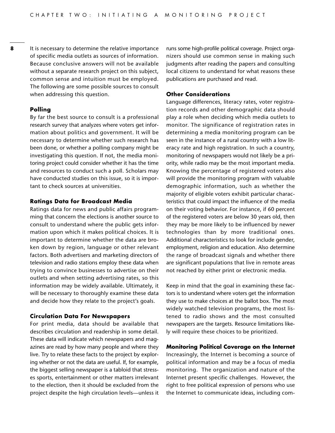**8** It is necessary to determine the relative importance of specific media outlets as sources of information. Because conclusive answers will not be available without a separate research project on this subject, common sense and intuition must be employed. The following are some possible sources to consult when addressing this question.

#### **Polling**

By far the best source to consult is a professional research survey that analyzes where voters get information about politics and government. It will be necessary to determine whether such research has been done, or whether a polling company might be investigating this question. If not, the media monitoring project could consider whether it has the time and resources to conduct such a poll. Scholars may have conducted studies on this issue, so it is important to check sources at universities.

#### **Ratings Data for Broadcast Media**

Ratings data for news and public affairs programming that concern the elections is another source to consult to understand where the public gets information upon which it makes political choices. It is important to determine whether the data are broken down by region, language or other relevant factors. Both advertisers and marketing directors of television and radio stations employ these data when trying to convince businesses to advertise on their outlets and when setting advertising rates, so this information may be widely available. Ultimately, it will be necessary to thoroughly examine these data and decide how they relate to the project's goals.

#### **Circulation Data For Newspapers**

For print media, data should be available that describes circulation and readership in some detail. These data will indicate which newspapers and magazines are read by how many people and where they live. Try to relate these facts to the project by exploring whether or not the data are useful. If, for example, the biggest selling newspaper is a tabloid that stresses sports, entertainment or other matters irrelevant to the election, then it should be excluded from the project despite the high circulation levels—unless it runs some high-profile political coverage. Project organizers should use common sense in making such judgments after reading the papers and consulting local citizens to understand for what reasons these publications are purchased and read.

#### **Other Considerations**

Language differences, literacy rates, voter registration records and other demographic data should play a role when deciding which media outlets to monitor. The significance of registration rates in determining a media monitoring program can be seen in the instance of a rural country with a low literacy rate and high registration. In such a country, monitoring of newspapers would not likely be a priority, while radio may be the most important media. Knowing the percentage of registered voters also will provide the monitoring program with valuable demographic information, such as whether the majority of eligible voters exhibit particular characteristics that could impact the influence of the media on their voting behavior. For instance, if 60 percent of the registered voters are below 30 years old, then they may be more likely to be influenced by newer technologies than by more traditional ones. Additional characteristics to look for include gender, employment, religion and education. Also determine the range of broadcast signals and whether there are significant populations that live in remote areas not reached by either print or electronic media.

Keep in mind that the goal in examining these factors is to understand where voters get the information they use to make choices at the ballot box. The most widely watched television programs, the most listened to radio shows and the most consulted newspapers are the targets. Resource limitations likely will require these choices to be prioritized.

#### **Monitoring Political Coverage on the Internet**

Increasingly, the Internet is becoming a source of political information and may be a focus of media monitoring. The organization and nature of the Internet present specific challenges. However, the right to free political expression of persons who use the Internet to communicate ideas, including com-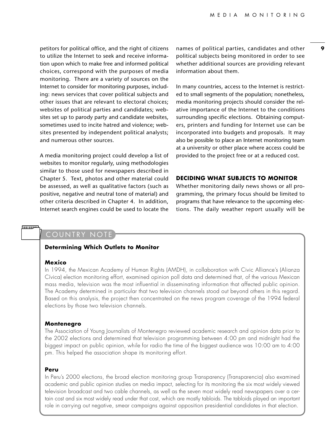petitors for political office, and the right of citizens to utilize the Internet to seek and receive information upon which to make free and informed political choices, correspond with the purposes of media monitoring. There are a variety of sources on the Internet to consider for monitoring purposes, including: news services that cover political subjects and other issues that are relevant to electoral choices; websites of political parties and candidates; websites set up to parody party and candidate websites, sometimes used to incite hatred and violence; websites presented by independent political analysts; and numerous other sources.

A media monitoring project could develop a list of websites to monitor regularly, using methodologies similar to those used for newspapers described in Chapter 5. Text, photos and other material could be assessed, as well as qualitative factors (such as positive, negative and neutral tone of material) and other criteria described in Chapter 4. In addition, Internet search engines could be used to locate the

names of political parties, candidates and other political subjects being monitored in order to see whether additional sources are providing relevant information about them.

In many countries, access to the Internet is restricted to small segments of the population; nonetheless, media monitoring projects should consider the relative importance of the Internet to the conditions surrounding specific elections. Obtaining computers, printers and funding for Internet use can be incorporated into budgets and proposals. It may also be possible to place an Internet monitoring team at a university or other place where access could be provided to the project free or at a reduced cost.

#### **DECIDING WHAT SUBJECTS TO MONITOR**

Whether monitoring daily news shows or all programming, the primary focus should be limited to programs that have relevance to the upcoming elections. The daily weather report usually will be

#### COUNTRY NOTE

#### **Determining Which Outlets to Monitor**

#### **Mexico**

<u>Immuv</u>

In 1994, the Mexican Academy of Human Rights (AMDH), in collaboration with Civic Alliance's (Alianza Cívica) election monitoring effort, examined opinion poll data and determined that, of the various Mexican mass media, television was the most influential in disseminating information that affected public opinion. The Academy determined in particular that two television channels stood out beyond others in this regard. Based on this analysis, the project then concentrated on the news program coverage of the 1994 federal elections by those two television channels.

#### **Montenegro**

The Association of Young Journalists of Montenegro reviewed academic research and opinion data prior to the 2002 elections and determined that television programming between 4:00 pm and midnight had the biggest impact on public opinion, while for radio the time of the biggest audience was 10:00 am to 4:00 pm. This helped the association shape its monitoring effort.

#### **Peru**

In Peru's 2000 elections, the broad election monitoring group Transparency (Transparencia) also examined academic and public opinion studies on media impact, selecting for its monitoring the six most widely viewed television broadcast and two cable channels, as well as the seven most widely read newspapers over a certain cost and six most widely read under that cost, which are mostly tabloids. The tabloids played an important role in carrying out negative, smear campaigns against opposition presidential candidates in that election.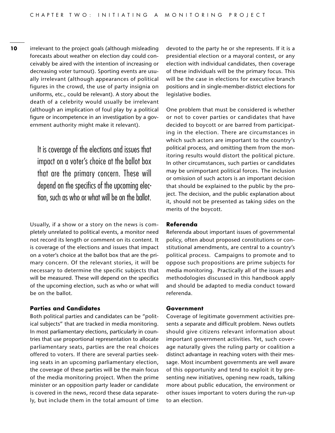**10** irrelevant to the project goals (although misleading forecasts about weather on election day could conceivably be aired with the intention of increasing or decreasing voter turnout). Sporting events are usually irrelevant (although appearances of political figures in the crowd, the use of party insignia on uniforms, etc., could be relevant). A story about the death of a celebrity would usually be irrelevant (although an implication of foul play by a political figure or incompetence in an investigation by a government authority might make it relevant).

> It is coverage of the elections and issues that impact on a voter's choice at the ballot box that are the primary concern. These will depend on the specifics of the upcoming election, such as who or what will be on the ballot.

Usually, if a show or a story on the news is completely unrelated to political events, a monitor need not record its length or comment on its content. It is coverage of the elections and issues that impact on a voter's choice at the ballot box that are the primary concern. Of the relevant stories, it will be necessary to determine the specific subjects that will be measured. These will depend on the specifics of the upcoming election, such as who or what will be on the ballot.

#### **Parties and Candidates**

Both political parties and candidates can be "political subjects" that are tracked in media monitoring. In most parliamentary elections, particularly in countries that use proportional representation to allocate parliamentary seats, parties are the real choices offered to voters. If there are several parties seeking seats in an upcoming parliamentary election, the coverage of these parties will be the main focus of the media monitoring project. When the prime minister or an opposition party leader or candidate is covered in the news, record these data separately, but include them in the total amount of time devoted to the party he or she represents. If it is a presidential election or a mayoral contest, or any election with individual candidates, then coverage of these individuals will be the primary focus. This will be the case in elections for executive branch positions and in single-member-district elections for legislative bodies.

One problem that must be considered is whether or not to cover parties or candidates that have decided to boycott or are barred from participating in the election. There are circumstances in which such actors are important to the country's political process, and omitting them from the monitoring results would distort the political picture. In other circumstances, such parties or candidates may be unimportant political forces. The inclusion or omission of such actors is an important decision that should be explained to the public by the project. The decision, and the public explanation about it, should not be presented as taking sides on the merits of the boycott.

#### **Referenda**

Referenda about important issues of governmental policy, often about proposed constitutions or constitutional amendments, are central to a country's political process. Campaigns to promote and to oppose such propositions are prime subjects for media monitoring. Practically all of the issues and methodologies discussed in this handbook apply and should be adapted to media conduct toward referenda.

#### **Government**

Coverage of legitimate government activities presents a separate and difficult problem. News outlets should give citizens relevant information about important government activities. Yet, such coverage naturally gives the ruling party or coalition a distinct advantage in reaching voters with their message. Most incumbent governments are well aware of this opportunity and tend to exploit it by presenting new initiatives, opening new roads, talking more about public education, the environment or other issues important to voters during the run-up to an election.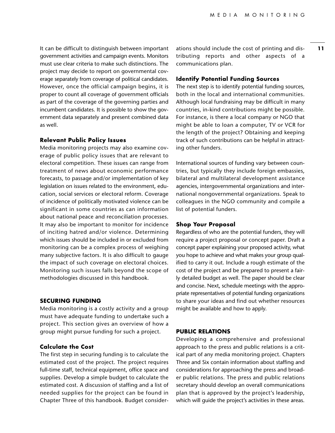It can be difficult to distinguish between important government activities and campaign events. Monitors must use clear criteria to make such distinctions. The project may decide to report on governmental coverage separately from coverage of political candidates. However, once the official campaign begins, it is proper to count all coverage of government officials as part of the coverage of the governing parties and incumbent candidates. It is possible to show the government data separately and present combined data as well.

#### **Relevant Public Policy Issues**

Media monitoring projects may also examine coverage of public policy issues that are relevant to electoral competition. These issues can range from treatment of news about economic performance forecasts, to passage and/or implementation of key legislation on issues related to the environment, education, social services or electoral reform. Coverage of incidence of politically motivated violence can be significant in some countries as can information about national peace and reconciliation processes. It may also be important to monitor for incidence of inciting hatred and/or violence. Determining which issues should be included in or excluded from monitoring can be a complex process of weighing many subjective factors. It is also difficult to gauge the impact of such coverage on electoral choices. Monitoring such issues falls beyond the scope of methodologies discussed in this handbook.

#### **SECURING FUNDING**

Media monitoring is a costly activity and a group must have adequate funding to undertake such a project. This section gives an overview of how a group might pursue funding for such a project.

#### **Calculate the Cost**

The first step in securing funding is to calculate the estimated cost of the project. The project requires full-time staff, technical equipment, office space and supplies. Develop a simple budget to calculate the estimated cost. A discussion of staffing and a list of needed supplies for the project can be found in Chapter Three of this handbook. Budget consider-

ations should include the cost of printing and distributing reports and other aspects of a communications plan.

#### **Identify Potential Funding Sources**

The next step is to identify potential funding sources, both in the local and international communities. Although local fundraising may be difficult in many countries, in-kind contributions might be possible. For instance, is there a local company or NGO that might be able to loan a computer, TV or VCR for the length of the project? Obtaining and keeping track of such contributions can be helpful in attracting other funders.

International sources of funding vary between countries, but typically they include foreign embassies, bilateral and multilateral development assistance agencies, intergovernmental organizations and international nongovernmental organizations. Speak to colleagues in the NGO community and compile a list of potential funders.

#### **Shop Your Proposal**

Regardless of who are the potential funders, they will require a project proposal or concept paper. Draft a concept paper explaining your proposed activity, what you hope to achieve and what makes your group qualified to carry it out. Include a rough estimate of the cost of the project and be prepared to present a fairly detailed budget as well. The paper should be clear and concise. Next, schedule meetings with the appropriate representatives of potential funding organizations to share your ideas and find out whether resources might be available and how to apply.

#### **PUBLIC RELATIONS**

Developing a comprehensive and professional approach to the press and public relations is a critical part of any media monitoring project. Chapters Three and Six contain information about staffing and considerations for approaching the press and broader public relations. The press and public relations secretary should develop an overall communications plan that is approved by the project's leadership, which will guide the project's activities in these areas.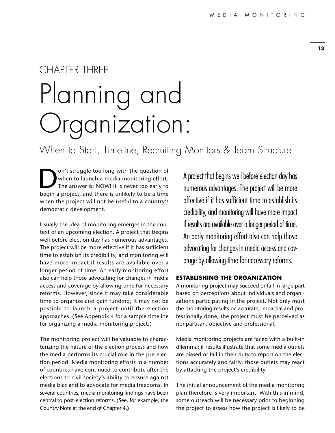## CHAPTER THREE Planning and Organization:

When to Start, Timeline, Recruiting Monitors & Team Structure

On't struggle too long with the question of<br>when to launch a media monitoring effort.<br>The answer is: NOW! It is never too early to<br>begin a project and there is unlikely to be a time when to launch a media monitoring effort. The answer is: NOW! It is never too early to begin a project, and there is unlikely to be a time when the project will not be useful to a country's democratic development.

Usually the idea of monitoring emerges in the context of an upcoming election. A project that begins well before election day has numerous advantages. The project will be more effective if it has sufficient time to establish its credibility, and monitoring will have more impact if results are available over a longer period of time. An early monitoring effort also can help those advocating for changes in media access and coverage by allowing time for necessary reforms. However, since it may take considerable time to organize and gain funding, it may not be possible to launch a project until the election approaches. (See Appendix 4 for a sample timeline for organizing a media monitoring project.)

The monitoring project will be valuable to characterizing the nature of the election process and how the media performs its crucial role in the pre-election period. Media monitoring efforts in a number of countries have continued to contribute after the elections to civil society's ability to ensure against media bias and to advocate for media freedoms. In several countries, media monitoring findings have been central to post-election reforms. (See, for example, the Country Note at the end of Chapter 4.)

A project that begins well before election day has numerous advantages. The project will be more effective if it has sufficient time to establish its credibility, and monitoring will have more impact if results are available over a longer period of time. An early monitoring effort also can help those advocating for changes in media access and coverage by allowing time for necessary reforms.

#### **ESTABLISHING THE ORGANIZATION**

A monitoring project may succeed or fail in large part based on perceptions about individuals and organizations participating in the project. Not only must the monitoring results be accurate, impartial and professionally done, the project must be perceived as nonpartisan, objective and professional.

Media monitoring projects are faced with a built-in dilemma: if results illustrate that some media outlets are biased or fail in their duty to report on the elections accurately and fairly, those outlets may react by attacking the project's credibility.

The initial announcement of the media monitoring plan therefore is very important. With this in mind, some outreach will be necessary prior to beginning the project to assess how the project is likely to be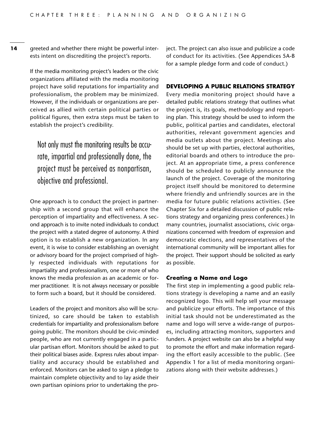**14** greeted and whether there might be powerful interests intent on discrediting the project's reports.

> If the media monitoring project's leaders or the civic organizations affiliated with the media monitoring project have solid reputations for impartiality and professionalism, the problem may be minimized. However, if the individuals or organizations are perceived as allied with certain political parties or political figures, then extra steps must be taken to establish the project's credibility.

Not only must the monitoring results be accurate, impartial and professionally done, the project must be perceived as nonpartisan, objective and professional.

One approach is to conduct the project in partnership with a second group that will enhance the perception of impartiality and effectiveness. A second approach is to invite noted individuals to conduct the project with a stated degree of autonomy. A third option is to establish a new organization. In any event, it is wise to consider establishing an oversight or advisory board for the project comprised of highly respected individuals with reputations for impartiality and professionalism, one or more of who knows the media profession as an academic or former practitioner. It is not always necessary or possible to form such a board, but it should be considered.

Leaders of the project and monitors also will be scrutinized, so care should be taken to establish credentials for impartiality and professionalism before going public. The monitors should be civic-minded people, who are not currently engaged in a particular partisan effort. Monitors should be asked to put their political biases aside. Express rules about impartiality and accuracy should be established and enforced. Monitors can be asked to sign a pledge to maintain complete objectivity and to lay aside their own partisan opinions prior to undertaking the project. The project can also issue and publicize a code of conduct for its activities. (See Appendices 5A-B for a sample pledge form and code of conduct.)

#### **DEVELOPING A PUBLIC RELATIONS STRATEGY**

Every media monitoring project should have a detailed public relations strategy that outlines what the project is, its goals, methodology and reporting plan. This strategy should be used to inform the public, political parties and candidates, electoral authorities, relevant government agencies and media outlets about the project. Meetings also should be set up with parties, electoral authorities, editorial boards and others to introduce the project. At an appropriate time, a press conference should be scheduled to publicly announce the launch of the project. Coverage of the monitoring project itself should be monitored to determine where friendly and unfriendly sources are in the media for future public relations activities. (See Chapter Six for a detailed discussion of public relations strategy and organizing press conferences.) In many countries, journalist associations, civic organizations concerned with freedom of expression and democratic elections, and representatives of the international community will be important allies for the project. Their support should be solicited as early as possible.

#### **Creating a Name and Logo**

The first step in implementing a good public relations strategy is developing a name and an easily recognized logo. This will help sell your message and publicize your efforts. The importance of this initial task should not be underestimated as the name and logo will serve a wide-range of purposes, including attracting monitors, supporters and funders. A project website can also be a helpful way to promote the effort and make information regarding the effort easily accessible to the public. (See Appendix 1 for a list of media monitoring organizations along with their website addresses.)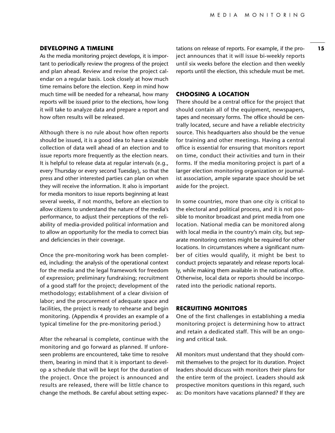#### **DEVELOPING A TIMELINE**

As the media monitoring project develops, it is important to periodically review the progress of the project and plan ahead. Review and revise the project calendar on a regular basis. Look closely at how much time remains before the election. Keep in mind how much time will be needed for a rehearsal, how many reports will be issued prior to the elections, how long it will take to analyze data and prepare a report and how often results will be released.

Although there is no rule about how often reports should be issued, it is a good idea to have a sizeable collection of data well ahead of an election and to issue reports more frequently as the election nears. It is helpful to release data at regular intervals (e.g., every Thursday or every second Tuesday), so that the press and other interested parties can plan on when they will receive the information. It also is important for media monitors to issue reports beginning at least several weeks, if not months, before an election to allow citizens to understand the nature of the media's performance, to adjust their perceptions of the reliability of media-provided political information and to allow an opportunity for the media to correct bias and deficiencies in their coverage.

Once the pre-monitoring work has been completed, including: the analysis of the operational context for the media and the legal framework for freedom of expression; preliminary fundraising; recruitment of a good staff for the project; development of the methodology; establishment of a clear division of labor; and the procurement of adequate space and facilities, the project is ready to rehearse and begin monitoring. (Appendix 4 provides an example of a typical timeline for the pre-monitoring period.)

After the rehearsal is complete, continue with the monitoring and go forward as planned. If unforeseen problems are encountered, take time to resolve them, bearing in mind that it is important to develop a schedule that will be kept for the duration of the project. Once the project is announced and results are released, there will be little chance to change the methods. Be careful about setting expectations on release of reports. For example, if the project announces that it will issue bi-weekly reports until six weeks before the election and then weekly reports until the election, this schedule must be met.

#### **CHOOSING A LOCATION**

There should be a central office for the project that should contain all of the equipment, newspapers, tapes and necessary forms. The office should be centrally located, secure and have a reliable electricity source. This headquarters also should be the venue for training and other meetings. Having a central office is essential for ensuring that monitors report on time, conduct their activities and turn in their forms. If the media monitoring project is part of a larger election monitoring organization or journalist association, ample separate space should be set aside for the project.

In some countries, more than one city is critical to the electoral and political process, and it is not possible to monitor broadcast and print media from one location. National media can be monitored along with local media in the country's main city, but separate monitoring centers might be required for other locations. In circumstances where a significant number of cities would qualify, it might be best to conduct projects separately and release reports locally, while making them available in the national office. Otherwise, local data or reports should be incorporated into the periodic national reports.

#### **RECRUITING MONITORS**

One of the first challenges in establishing a media monitoring project is determining how to attract and retain a dedicated staff. This will be an ongoing and critical task.

All monitors must understand that they should commit themselves to the project for its duration. Project leaders should discuss with monitors their plans for the entire term of the project. Leaders should ask prospective monitors questions in this regard, such as: Do monitors have vacations planned? If they are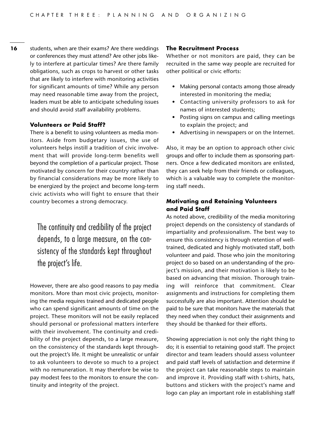**16** students, when are their exams? Are there weddings or conferences they must attend? Are other jobs likely to interfere at particular times? Are there family obligations, such as crops to harvest or other tasks that are likely to interfere with monitoring activities for significant amounts of time? While any person may need reasonable time away from the project, leaders must be able to anticipate scheduling issues and should avoid staff availability problems.

#### **Volunteers or Paid Staff?**

There is a benefit to using volunteers as media monitors. Aside from budgetary issues, the use of volunteers helps instill a tradition of civic involvement that will provide long-term benefits well beyond the completion of a particular project. Those motivated by concern for their country rather than by financial considerations may be more likely to be energized by the project and become long-term civic activists who will fight to ensure that their country becomes a strong democracy.

The continuity and credibility of the project depends, to a large measure, on the consistency of the standards kept throughout the project's life.

However, there are also good reasons to pay media monitors. More than most civic projects, monitoring the media requires trained and dedicated people who can spend significant amounts of time on the project. These monitors will not be easily replaced should personal or professional matters interfere with their involvement. The continuity and credibility of the project depends, to a large measure, on the consistency of the standards kept throughout the project's life. It might be unrealistic or unfair to ask volunteers to devote so much to a project with no remuneration. It may therefore be wise to pay modest fees to the monitors to ensure the continuity and integrity of the project.

#### **The Recruitment Process**

Whether or not monitors are paid, they can be recruited in the same way people are recruited for other political or civic efforts:

- Making personal contacts among those already interested in monitoring the media;
- Contacting university professors to ask for names of interested students;
- Posting signs on campus and calling meetings to explain the project; and
- Advertising in newspapers or on the Internet.

Also, it may be an option to approach other civic groups and offer to include them as sponsoring partners. Once a few dedicated monitors are enlisted, they can seek help from their friends or colleagues, which is a valuable way to complete the monitoring staff needs.

#### **Motivating and Retaining Volunteers and Paid Staff**

As noted above, credibility of the media monitoring project depends on the consistency of standards of impartiality and professionalism. The best way to ensure this consistency is through retention of welltrained, dedicated and highly motivated staff, both volunteer and paid. Those who join the monitoring project do so based on an understanding of the project's mission, and their motivation is likely to be based on advancing that mission. Thorough training will reinforce that commitment. Clear assignments and instructions for completing them successfully are also important. Attention should be paid to be sure that monitors have the materials that they need when they conduct their assignments and they should be thanked for their efforts.

Showing appreciation is not only the right thing to do; it is essential to retaining good staff. The project director and team leaders should assess volunteer and paid staff levels of satisfaction and determine if the project can take reasonable steps to maintain and improve it. Providing staff with t-shirts, hats, buttons and stickers with the project's name and logo can play an important role in establishing staff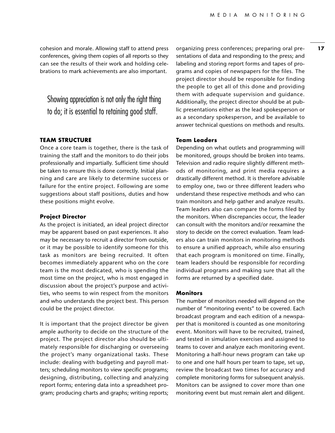cohesion and morale. Allowing staff to attend press conferences, giving them copies of all reports so they can see the results of their work and holding celebrations to mark achievements are also important.

Showing appreciation is not only the right thing to do; it is essential to retaining good staff.

#### **TEAM STRUCTURE**

Once a core team is together, there is the task of training the staff and the monitors to do their jobs professionally and impartially. Sufficient time should be taken to ensure this is done correctly. Initial planning and care are likely to determine success or failure for the entire project. Following are some suggestions about staff positions, duties and how these positions might evolve.

#### **Project Director**

As the project is initiated, an ideal project director may be apparent based on past experiences. It also may be necessary to recruit a director from outside, or it may be possible to identify someone for this task as monitors are being recruited. It often becomes immediately apparent who on the core team is the most dedicated, who is spending the most time on the project, who is most engaged in discussion about the project's purpose and activities, who seems to win respect from the monitors and who understands the project best. This person could be the project director.

It is important that the project director be given ample authority to decide on the structure of the project. The project director also should be ultimately responsible for discharging or overseeing the project's many organizational tasks. These include: dealing with budgeting and payroll matters; scheduling monitors to view specific programs; designing, distributing, collecting and analyzing report forms; entering data into a spreadsheet program; producing charts and graphs; writing reports;

organizing press conferences; preparing oral presentations of data and responding to the press; and labeling and storing report forms and tapes of programs and copies of newspapers for the files. The project director should be responsible for finding the people to get all of this done and providing them with adequate supervision and guidance. Additionally, the project director should be at public presentations either as the lead spokesperson or as a secondary spokesperson, and be available to answer technical questions on methods and results.

#### **Team Leaders**

Depending on what outlets and programming will be monitored, groups should be broken into teams. Television and radio require slightly different methods of monitoring, and print media requires a drastically different method. It is therefore advisable to employ one, two or three different leaders who understand these respective methods and who can train monitors and help gather and analyze results. Team leaders also can compare the forms filed by the monitors. When discrepancies occur, the leader can consult with the monitors and/or reexamine the story to decide on the correct evaluation. Team leaders also can train monitors in monitoring methods to ensure a unified approach, while also ensuring that each program is monitored on time. Finally, team leaders should be responsible for recording individual programs and making sure that all the forms are returned by a specified date.

#### **Monitors**

The number of monitors needed will depend on the number of "monitoring events" to be covered. Each broadcast program and each edition of a newspaper that is monitored is counted as one monitoring event. Monitors will have to be recruited, trained, and tested in simulation exercises and assigned to teams to cover and analyze each monitoring event. Monitoring a half-hour news program can take up to one and one half hours per team to tape, set up, review the broadcast two times for accuracy and complete monitoring forms for subsequent analysis. Monitors can be assigned to cover more than one monitoring event but must remain alert and diligent.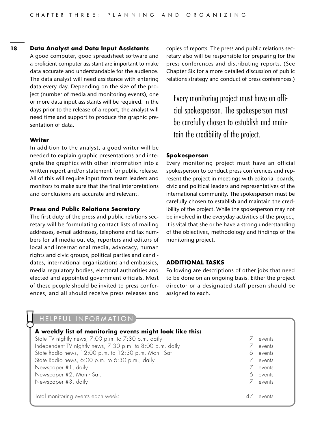#### **18 Data Analyst and Data Input Assistants**

A good computer, good spreadsheet software and a proficient computer assistant are important to make data accurate and understandable for the audience. The data analyst will need assistance with entering data every day. Depending on the size of the project (number of media and monitoring events), one or more data input assistants will be required. In the days prior to the release of a report, the analyst will need time and support to produce the graphic presentation of data.

#### **Writer**

In addition to the analyst, a good writer will be needed to explain graphic presentations and integrate the graphics with other information into a written report and/or statement for public release. All of this will require input from team leaders and monitors to make sure that the final interpretations and conclusions are accurate and relevant.

#### **Press and Public Relations Secretary**

The first duty of the press and public relations secretary will be formulating contact lists of mailing addresses, e-mail addresses, telephone and fax numbers for all media outlets, reporters and editors of local and international media, advocacy, human rights and civic groups, political parties and candidates, international organizations and embassies, media regulatory bodies, electoral authorities and elected and appointed government officials. Most of these people should be invited to press conferences, and all should receive press releases and copies of reports. The press and public relations secretary also will be responsible for preparing for the press conferences and distributing reports. (See Chapter Six for a more detailed discussion of public relations strategy and conduct of press conferences.)

Every monitoring project must have an official spokesperson. The spokesperson must be carefully chosen to establish and maintain the credibility of the project.

#### **Spokesperson**

Every monitoring project must have an official spokesperson to conduct press conferences and represent the project in meetings with editorial boards, civic and political leaders and representatives of the international community. The spokesperson must be carefully chosen to establish and maintain the credibility of the project. While the spokesperson may not be involved in the everyday activities of the project, it is vital that she or he have a strong understanding of the objectives, methodology and findings of the monitoring project.

#### **ADDITIONAL TASKS**

Following are descriptions of other jobs that need to be done on an ongoing basis. Either the project director or a designated staff person should be assigned to each.

|  | HELPFUL INFORMATION |  |  |  |  |
|--|---------------------|--|--|--|--|
|--|---------------------|--|--|--|--|

| A weekly list of monitoring events might look like this:  |   |        |
|-----------------------------------------------------------|---|--------|
| State TV nightly news, 7:00 p.m. to 7:30 p.m. daily       |   | events |
| Independent TV nightly news, 7:30 p.m. to 8:00 p.m. daily |   | events |
| State Radio news, 12:00 p.m. to 12:30 p.m. Mon - Sat      | ♦ | events |
| State Radio news, 6:00 p.m. to 6:30 p.m., daily           |   | events |
| Newspaper #1, daily                                       |   | events |
| Newspaper #2, Mon - Sat.                                  | ♦ | events |
| Newspaper #3, daily                                       |   | events |
| Total monitoring events each week:                        |   | events |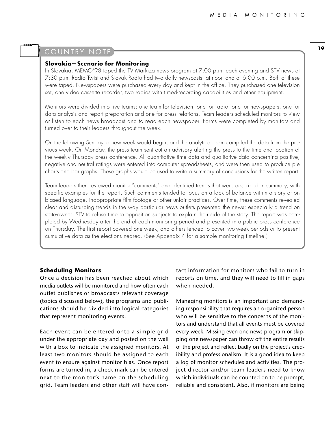#### COUNTRY NOTE

سسسسا

#### **Slovakia—Scenario for Monitoring**

In Slovakia, MEMO'98 taped the TV Markiza news program at 7:00 p.m. each evening and STV news at 7:30 p.m. Radio Twist and Slovak Radio had two daily newscasts, at noon and at 6:00 p.m. Both of these were taped. Newspapers were purchased every day and kept in the office. They purchased one television set, one video cassette recorder, two radios with timed-recording capabilities and other equipment.

Monitors were divided into five teams: one team for television, one for radio, one for newspapers, one for data analysis and report preparation and one for press relations. Team leaders scheduled monitors to view or listen to each news broadcast and to read each newspaper. Forms were completed by monitors and turned over to their leaders throughout the week.

On the following Sunday, a new week would begin, and the analytical team compiled the data from the previous week. On Monday, the press team sent out an advisory alerting the press to the time and location of the weekly Thursday press conference. All quantitative time data and qualitative data concerning positive, negative and neutral ratings were entered into computer spreadsheets, and were then used to produce pie charts and bar graphs. These graphs would be used to write a summary of conclusions for the written report.

Team leaders then reviewed monitor "comments" and identified trends that were described in summary, with specific examples for the report. Such comments tended to focus on a lack of balance within a story or on biased language, inappropriate film footage or other unfair practices. Over time, these comments revealed clear and disturbing trends in the way particular news outlets presented the news; especially a trend on state-owned STV to refuse time to opposition subjects to explain their side of the story. The report was completed by Wednesday after the end of each monitoring period and presented in a public press conference on Thursday. The first report covered one week, and others tended to cover two-week periods or to present cumulative data as the elections neared. (See Appendix 4 for a sample monitoring timeline.)

#### **Scheduling Monitors**

Once a decision has been reached about which media outlets will be monitored and how often each outlet publishes or broadcasts relevant coverage (topics discussed below), the programs and publications should be divided into logical categories that represent monitoring events.

Each event can be entered onto a simple grid under the appropriate day and posted on the wall with a box to indicate the assigned monitors. At least two monitors should be assigned to each event to ensure against monitor bias. Once report forms are turned in, a check mark can be entered next to the monitor's name on the scheduling grid. Team leaders and other staff will have contact information for monitors who fail to turn in reports on time, and they will need to fill in gaps when needed.

Managing monitors is an important and demanding responsibility that requires an organized person who will be sensitive to the concerns of the monitors and understand that all events must be covered every week. Missing even one news program or skipping one newspaper can throw off the entire results of the project and reflect badly on the project's credibility and professionalism. It is a good idea to keep a log of monitor schedules and activities. The project director and/or team leaders need to know which individuals can be counted on to be prompt, reliable and consistent. Also, if monitors are being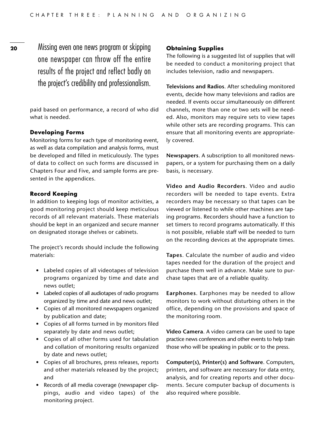Missing even one news program or skipping one newspaper can throw off the entire results of the project and reflect badly on the project's credibility and professionalism.

paid based on performance, a record of who did what is needed.

#### **Developing Forms**

Monitoring forms for each type of monitoring event, as well as data compilation and analysis forms, must be developed and filled in meticulously. The types of data to collect on such forms are discussed in Chapters Four and Five, and sample forms are presented in the appendices.

#### **Record Keeping**

In addition to keeping logs of monitor activities, a good monitoring project should keep meticulous records of all relevant materials. These materials should be kept in an organized and secure manner on designated storage shelves or cabinets.

The project's records should include the following materials:

- Labeled copies of all videotapes of television programs organized by time and date and news outlet;
- Labeled copies of all audiotapes of radio programs organized by time and date and news outlet;
- Copies of all monitored newspapers organized by publication and date;
- Copies of all forms turned in by monitors filed separately by date and news outlet;
- Copies of all other forms used for tabulation and collation of monitoring results organized by date and news outlet;
- Copies of all brochures, press releases, reports and other materials released by the project; and
- Records of all media coverage (newspaper clippings, audio and video tapes) of the monitoring project.

#### **Obtaining Supplies**

The following is a suggested list of supplies that will be needed to conduct a monitoring project that includes television, radio and newspapers.

**Televisions and Radios**. After scheduling monitored events, decide how many televisions and radios are needed. If events occur simultaneously on different channels, more than one or two sets will be needed. Also, monitors may require sets to view tapes while other sets are recording programs. This can ensure that all monitoring events are appropriately covered.

**Newspapers**. A subscription to all monitored newspapers, or a system for purchasing them on a daily basis, is necessary.

**Video and Audio Recorders**. Video and audio recorders will be needed to tape events. Extra recorders may be necessary so that tapes can be viewed or listened to while other machines are taping programs. Recorders should have a function to set timers to record programs automatically. If this is not possible, reliable staff will be needed to turn on the recording devices at the appropriate times.

**Tapes**. Calculate the number of audio and video tapes needed for the duration of the project and purchase them well in advance. Make sure to purchase tapes that are of a reliable quality.

**Earphones**. Earphones may be needed to allow monitors to work without disturbing others in the office, depending on the provisions and space of the monitoring room.

**Video Camera**. A video camera can be used to tape practice news conferences and other events to help train those who will be speaking in public or to the press.

**Computer(s), Printer(s) and Software**. Computers, printers, and software are necessary for data entry, analysis, and for creating reports and other documents. Secure computer backup of documents is also required where possible.